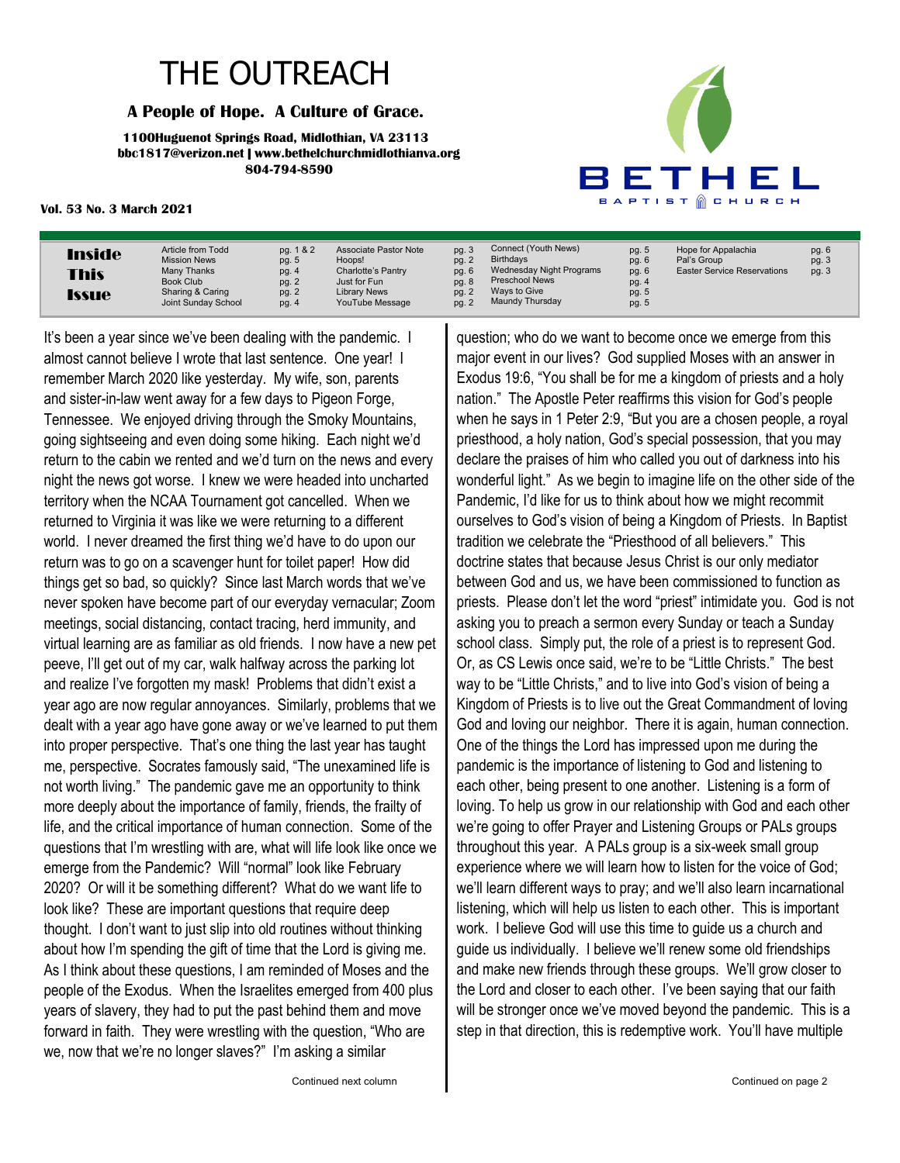## THE OUTREACH

#### **A People of Hope. A Culture of Grace.**

**1100Huguenot Springs Road, Midlothian, VA 23113 bbc1817@verizon.net | www.bethelchurchmidlothianva.org 804-794-8590**



#### **Vol. 53 No. 3 March 2021**

| <b>Inside</b> | Article from Todd   | pg. 1 & 2 | <b>Associate Pastor Note</b> |
|---------------|---------------------|-----------|------------------------------|
|               | <b>Mission News</b> | pg. 5     | Hoops!                       |
| <b>This</b>   | Many Thanks         | pg. 4     | Charlotte's Pantry           |
|               | Book Club           | pg. 2     | Just for Fun                 |
|               | Sharing & Caring    | pg. 2     | <b>Library News</b>          |
| <b>Issue</b>  | Joint Sunday School | pg. 4     | YouTube Message              |

It's been a year since we've been dealing with the pandemic. I almost cannot believe I wrote that last sentence. One year! I remember March 2020 like yesterday. My wife, son, parents and sister-in-law went away for a few days to Pigeon Forge, Tennessee. We enjoyed driving through the Smoky Mountains, going sightseeing and even doing some hiking. Each night we'd return to the cabin we rented and we'd turn on the news and every night the news got worse. I knew we were headed into uncharted territory when the NCAA Tournament got cancelled. When we returned to Virginia it was like we were returning to a different world. I never dreamed the first thing we'd have to do upon our return was to go on a scavenger hunt for toilet paper! How did things get so bad, so quickly? Since last March words that we've never spoken have become part of our everyday vernacular; Zoom meetings, social distancing, contact tracing, herd immunity, and virtual learning are as familiar as old friends. I now have a new pet peeve, I'll get out of my car, walk halfway across the parking lot and realize I've forgotten my mask! Problems that didn't exist a year ago are now regular annoyances. Similarly, problems that we dealt with a year ago have gone away or we've learned to put them into proper perspective. That's one thing the last year has taught me, perspective. Socrates famously said, "The unexamined life is not worth living." The pandemic gave me an opportunity to think more deeply about the importance of family, friends, the frailty of life, and the critical importance of human connection. Some of the questions that I'm wrestling with are, what will life look like once we emerge from the Pandemic? Will "normal" look like February 2020? Or will it be something different? What do we want life to look like? These are important questions that require deep thought. I don't want to just slip into old routines without thinking about how I'm spending the gift of time that the Lord is giving me. As I think about these questions, I am reminded of Moses and the people of the Exodus. When the Israelites emerged from 400 plus years of slavery, they had to put the past behind them and move forward in faith. They were wrestling with the question, "Who are we, now that we're no longer slaves?" I'm asking a similar

pg. 3 pg. 2 pg. 6 pg. 8 pg. 2 pg. 2 Connect (Youth News) Birthdays Wednesday Night Programs Preschool News Ways to Give Maundy Thursday pg. 5 pg. 6 pg. 6 pg. 4 pg. 5 pg. 5 Hope for Appalachia Pal's Group Easter Service Reservations pg. 6 pg. 3 pg. 3

question; who do we want to become once we emerge from this major event in our lives? God supplied Moses with an answer in Exodus 19:6, "You shall be for me a kingdom of priests and a holy nation." The Apostle Peter reaffirms this vision for God's people when he says in 1 Peter 2:9, "But you are a chosen people, a royal priesthood, a holy nation, God's special possession, that you may declare the praises of him who called you out of darkness into his wonderful light." As we begin to imagine life on the other side of the Pandemic, I'd like for us to think about how we might recommit ourselves to God's vision of being a Kingdom of Priests. In Baptist tradition we celebrate the "Priesthood of all believers." This doctrine states that because Jesus Christ is our only mediator between God and us, we have been commissioned to function as priests. Please don't let the word "priest" intimidate you. God is not asking you to preach a sermon every Sunday or teach a Sunday school class. Simply put, the role of a priest is to represent God. Or, as CS Lewis once said, we're to be "Little Christs." The best way to be "Little Christs," and to live into God's vision of being a Kingdom of Priests is to live out the Great Commandment of loving God and loving our neighbor. There it is again, human connection. One of the things the Lord has impressed upon me during the pandemic is the importance of listening to God and listening to each other, being present to one another. Listening is a form of loving. To help us grow in our relationship with God and each other we're going to offer Prayer and Listening Groups or PALs groups throughout this year. A PALs group is a six-week small group experience where we will learn how to listen for the voice of God; we'll learn different ways to pray; and we'll also learn incarnational listening, which will help us listen to each other. This is important work. I believe God will use this time to guide us a church and guide us individually. I believe we'll renew some old friendships and make new friends through these groups. We'll grow closer to the Lord and closer to each other. I've been saying that our faith will be stronger once we've moved beyond the pandemic. This is a step in that direction, this is redemptive work. You'll have multiple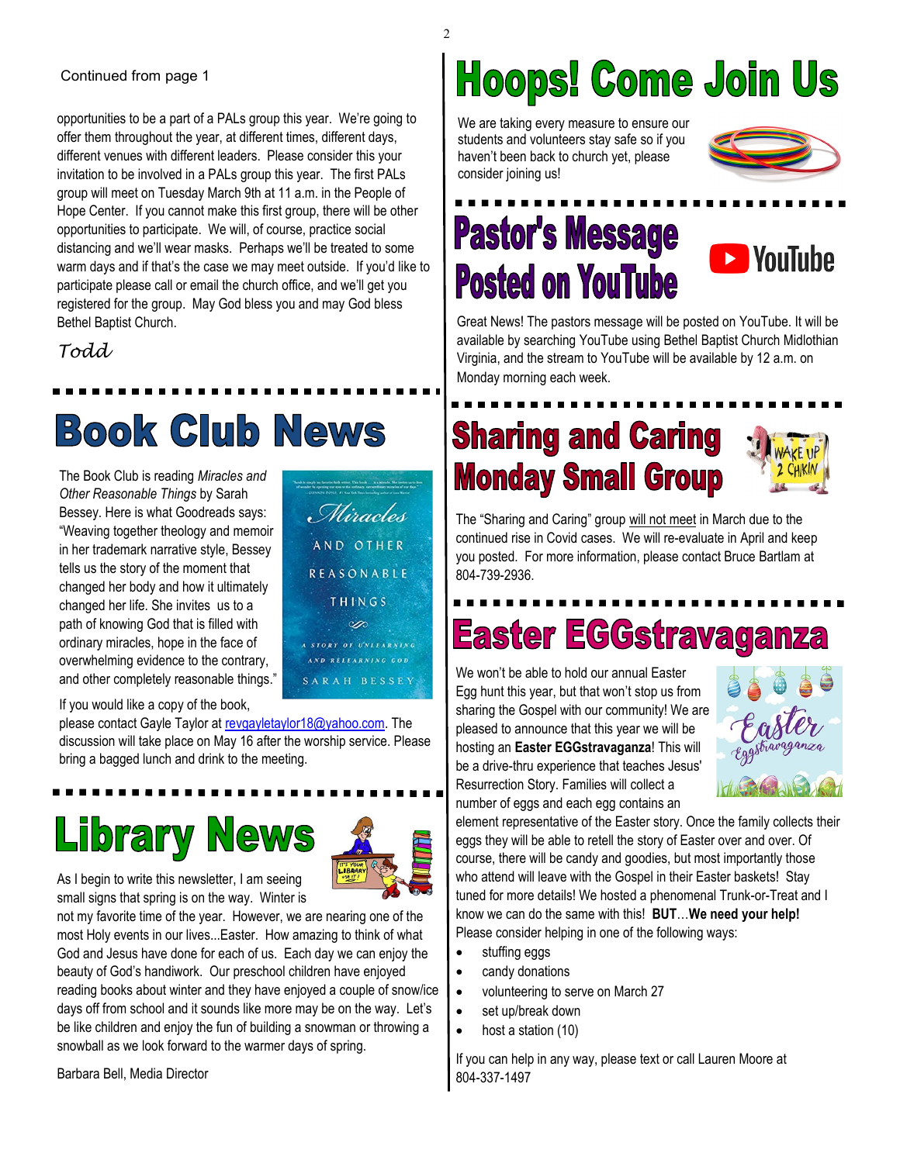#### Continued from page 1

opportunities to be a part of a PALs group this year. We're going to offer them throughout the year, at different times, different days, different venues with different leaders. Please consider this your invitation to be involved in a PALs group this year. The first PALs group will meet on Tuesday March 9th at 11 a.m. in the People of Hope Center. If you cannot make this first group, there will be other opportunities to participate. We will, of course, practice social distancing and we'll wear masks. Perhaps we'll be treated to some warm days and if that's the case we may meet outside. If you'd like to participate please call or email the church office, and we'll get you registered for the group. May God bless you and may God bless Bethel Baptist Church.

*Todd* 

## Book Club News

The Book Club is reading *Miracles and Other Reasonable Things* by Sarah Bessey. Here is what Goodreads says: "Weaving together theology and memoir in her trademark narrative style, Bessey tells us the story of the moment that changed her body and how it ultimately changed her life. She invites us to a path of knowing God that is filled with ordinary miracles, hope in the face of overwhelming evidence to the contrary, and other completely reasonable things."

If you would like a copy of the book,

please contact Gayle Taylor at [revgayletaylor18@yahoo.com.](mailto:revgayletaylor18@yahoo.com) The discussion will take place on May 16 after the worship service. Please bring a bagged lunch and drink to the meeting.

## **Library News**



Miracles

AND OTHER

REASONABLE THINGS Å.

A STORY OF UNLEARNING AND RELEARNING GOD SARAH BESSEY

As I begin to write this newsletter, I am seeing small signs that spring is on the way. Winter is

not my favorite time of the year. However, we are nearing one of the most Holy events in our lives...Easter. How amazing to think of what God and Jesus have done for each of us. Each day we can enjoy the beauty of God's handiwork. Our preschool children have enjoyed reading books about winter and they have enjoyed a couple of snow/ice days off from school and it sounds like more may be on the way. Let's be like children and enjoy the fun of building a snowman or throwing a snowball as we look forward to the warmer days of spring.

## **Hoops! Come Join Us**

We are taking every measure to ensure our students and volunteers stay safe so if you haven't been back to church yet, please consider joining us!



## **Pastor's Message Posted on YouTube**



Great News! The pastors message will be posted on YouTube. It will be available by searching YouTube using Bethel Baptist Church Midlothian Virginia, and the stream to YouTube will be available by 12 a.m. on Monday morning each week.

## **Sharing and Caring Monday Small Group**



The "Sharing and Caring" group will not meet in March due to the continued rise in Covid cases. We will re-evaluate in April and keep you posted. For more information, please contact Bruce Bartlam at 804-739-2936.

## **Easter EGGstravag**

We won't be able to hold our annual Easter Egg hunt this year, but that won't stop us from sharing the Gospel with our community! We are pleased to announce that this year we will be hosting an **Easter EGGstravaganza**! This will be a drive-thru experience that teaches Jesus' Resurrection Story. Families will collect a number of eggs and each egg contains an



element representative of the Easter story. Once the family collects their eggs they will be able to retell the story of Easter over and over. Of course, there will be candy and goodies, but most importantly those who attend will leave with the Gospel in their Easter baskets! Stay tuned for more details! We hosted a phenomenal Trunk-or-Treat and I know we can do the same with this! **BUT**…**We need your help!**  Please consider helping in one of the following ways:

- stuffing eggs
- candy donations
- volunteering to serve on March 27
- set up/break down
- host a station (10)

If you can help in any way, please text or call Lauren Moore at 804-337-1497

Barbara Bell, Media Director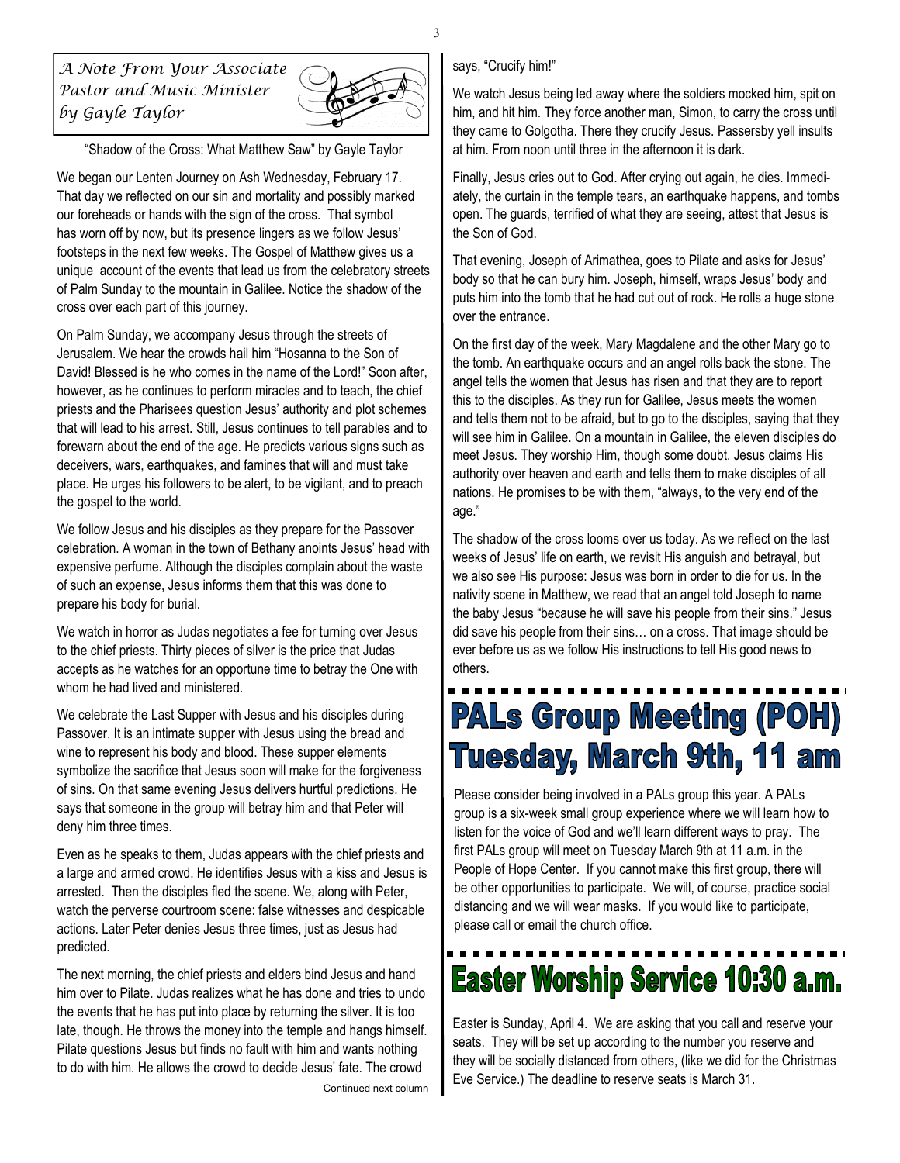*A Note From Your Associate Pastor and Music Minister by Gayle Taylor* 



"Shadow of the Cross: What Matthew Saw" by Gayle Taylor

We began our Lenten Journey on Ash Wednesday, February 17. That day we reflected on our sin and mortality and possibly marked our foreheads or hands with the sign of the cross. That symbol has worn off by now, but its presence lingers as we follow Jesus' footsteps in the next few weeks. The Gospel of Matthew gives us a unique account of the events that lead us from the celebratory streets of Palm Sunday to the mountain in Galilee. Notice the shadow of the cross over each part of this journey.

On Palm Sunday, we accompany Jesus through the streets of Jerusalem. We hear the crowds hail him "Hosanna to the Son of David! Blessed is he who comes in the name of the Lord!" Soon after, however, as he continues to perform miracles and to teach, the chief priests and the Pharisees question Jesus' authority and plot schemes that will lead to his arrest. Still, Jesus continues to tell parables and to forewarn about the end of the age. He predicts various signs such as deceivers, wars, earthquakes, and famines that will and must take place. He urges his followers to be alert, to be vigilant, and to preach the gospel to the world.

We follow Jesus and his disciples as they prepare for the Passover celebration. A woman in the town of Bethany anoints Jesus' head with expensive perfume. Although the disciples complain about the waste of such an expense, Jesus informs them that this was done to prepare his body for burial.

We watch in horror as Judas negotiates a fee for turning over Jesus to the chief priests. Thirty pieces of silver is the price that Judas accepts as he watches for an opportune time to betray the One with whom he had lived and ministered.

We celebrate the Last Supper with Jesus and his disciples during Passover. It is an intimate supper with Jesus using the bread and wine to represent his body and blood. These supper elements symbolize the sacrifice that Jesus soon will make for the forgiveness of sins. On that same evening Jesus delivers hurtful predictions. He says that someone in the group will betray him and that Peter will deny him three times.

Even as he speaks to them, Judas appears with the chief priests and a large and armed crowd. He identifies Jesus with a kiss and Jesus is arrested. Then the disciples fled the scene. We, along with Peter, watch the perverse courtroom scene: false witnesses and despicable actions. Later Peter denies Jesus three times, just as Jesus had predicted.

The next morning, the chief priests and elders bind Jesus and hand him over to Pilate. Judas realizes what he has done and tries to undo the events that he has put into place by returning the silver. It is too late, though. He throws the money into the temple and hangs himself. Pilate questions Jesus but finds no fault with him and wants nothing to do with him. He allows the crowd to decide Jesus' fate. The crowd Continued next column

#### says, "Crucify him!"

We watch Jesus being led away where the soldiers mocked him, spit on him, and hit him. They force another man, Simon, to carry the cross until they came to Golgotha. There they crucify Jesus. Passersby yell insults at him. From noon until three in the afternoon it is dark.

Finally, Jesus cries out to God. After crying out again, he dies. Immediately, the curtain in the temple tears, an earthquake happens, and tombs open. The guards, terrified of what they are seeing, attest that Jesus is the Son of God.

That evening, Joseph of Arimathea, goes to Pilate and asks for Jesus' body so that he can bury him. Joseph, himself, wraps Jesus' body and puts him into the tomb that he had cut out of rock. He rolls a huge stone over the entrance.

On the first day of the week, Mary Magdalene and the other Mary go to the tomb. An earthquake occurs and an angel rolls back the stone. The angel tells the women that Jesus has risen and that they are to report this to the disciples. As they run for Galilee, Jesus meets the women and tells them not to be afraid, but to go to the disciples, saying that they will see him in Galilee. On a mountain in Galilee, the eleven disciples do meet Jesus. They worship Him, though some doubt. Jesus claims His authority over heaven and earth and tells them to make disciples of all nations. He promises to be with them, "always, to the very end of the age."

The shadow of the cross looms over us today. As we reflect on the last weeks of Jesus' life on earth, we revisit His anguish and betrayal, but we also see His purpose: Jesus was born in order to die for us. In the nativity scene in Matthew, we read that an angel told Joseph to name the baby Jesus "because he will save his people from their sins." Jesus did save his people from their sins… on a cross. That image should be ever before us as we follow His instructions to tell His good news to others.

## **PALs Group Meeting (POH) Tuesday, March 9th, 11 am**

Please consider being involved in a PALs group this year. A PALs group is a six-week small group experience where we will learn how to listen for the voice of God and we'll learn different ways to pray. The first PALs group will meet on Tuesday March 9th at 11 a.m. in the People of Hope Center. If you cannot make this first group, there will be other opportunities to participate. We will, of course, practice social distancing and we will wear masks. If you would like to participate, please call or email the church office.

## **Easter Worship Service 10:30 a.m.**

Easter is Sunday, April 4. We are asking that you call and reserve your seats. They will be set up according to the number you reserve and they will be socially distanced from others, (like we did for the Christmas Eve Service.) The deadline to reserve seats is March 31.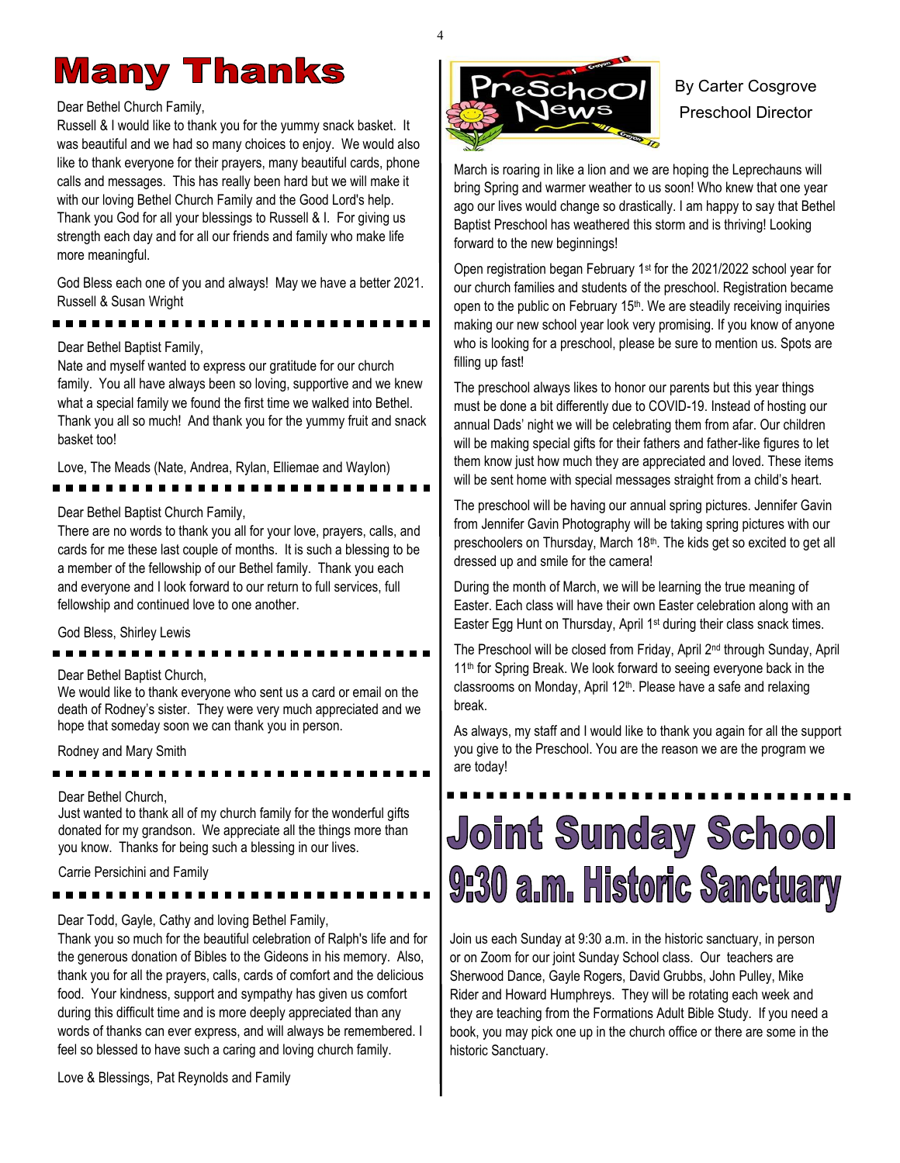## **Many Thanks**

#### Dear Bethel Church Family,

Russell & I would like to thank you for the yummy snack basket. It was beautiful and we had so many choices to enjoy. We would also like to thank everyone for their prayers, many beautiful cards, phone calls and messages. This has really been hard but we will make it with our loving Bethel Church Family and the Good Lord's help. Thank you God for all your blessings to Russell & I. For giving us strength each day and for all our friends and family who make life more meaningful.

God Bless each one of you and always! May we have a better 2021. Russell & Susan Wright

#### Dear Bethel Baptist Family,

Nate and myself wanted to express our gratitude for our church family. You all have always been so loving, supportive and we knew what a special family we found the first time we walked into Bethel. Thank you all so much! And thank you for the yummy fruit and snack basket too!

Love, The Meads (Nate, Andrea, Rylan, Elliemae and Waylon)

#### ----------

#### Dear Bethel Baptist Church Family,

There are no words to thank you all for your love, prayers, calls, and cards for me these last couple of months. It is such a blessing to be a member of the fellowship of our Bethel family. Thank you each and everyone and I look forward to our return to full services, full fellowship and continued love to one another.

God Bless, Shirley Lewis

#### Dear Bethel Baptist Church,

We would like to thank everyone who sent us a card or email on the death of Rodney's sister. They were very much appreciated and we hope that someday soon we can thank you in person.

Rodney and Mary Smith

#### Dear Bethel Church,

Just wanted to thank all of my church family for the wonderful gifts donated for my grandson. We appreciate all the things more than you know. Thanks for being such a blessing in our lives.

Carrie Persichini and Family

Dear Todd, Gayle, Cathy and loving Bethel Family,

Thank you so much for the beautiful celebration of Ralph's life and for the generous donation of Bibles to the Gideons in his memory. Also, thank you for all the prayers, calls, cards of comfort and the delicious food. Your kindness, support and sympathy has given us comfort during this difficult time and is more deeply appreciated than any words of thanks can ever express, and will always be remembered. I feel so blessed to have such a caring and loving church family.

Love & Blessings, Pat Reynolds and Family



## By Carter Cosgrove Preschool Director

March is roaring in like a lion and we are hoping the Leprechauns will bring Spring and warmer weather to us soon! Who knew that one year ago our lives would change so drastically. I am happy to say that Bethel Baptist Preschool has weathered this storm and is thriving! Looking forward to the new beginnings!

Open registration began February 1st for the 2021/2022 school year for our church families and students of the preschool. Registration became open to the public on February 15<sup>th</sup>. We are steadily receiving inquiries making our new school year look very promising. If you know of anyone who is looking for a preschool, please be sure to mention us. Spots are filling up fast!

The preschool always likes to honor our parents but this year things must be done a bit differently due to COVID-19. Instead of hosting our annual Dads' night we will be celebrating them from afar. Our children will be making special gifts for their fathers and father-like figures to let them know just how much they are appreciated and loved. These items will be sent home with special messages straight from a child's heart.

The preschool will be having our annual spring pictures. Jennifer Gavin from Jennifer Gavin Photography will be taking spring pictures with our preschoolers on Thursday, March 18th. The kids get so excited to get all dressed up and smile for the camera!

During the month of March, we will be learning the true meaning of Easter. Each class will have their own Easter celebration along with an Easter Egg Hunt on Thursday, April 1<sup>st</sup> during their class snack times.

The Preschool will be closed from Friday, April 2nd through Sunday, April 11<sup>th</sup> for Spring Break. We look forward to seeing everyone back in the classrooms on Monday, April 12<sup>th</sup>. Please have a safe and relaxing break.

As always, my staff and I would like to thank you again for all the support you give to the Preschool. You are the reason we are the program we are today!

## **Joint Sunday School** 9:30 a.m. Historic Sanctuary

Join us each Sunday at 9:30 a.m. in the historic sanctuary, in person or on Zoom for our joint Sunday School class. Our teachers are Sherwood Dance, Gayle Rogers, David Grubbs, John Pulley, Mike Rider and Howard Humphreys. They will be rotating each week and they are teaching from the Formations Adult Bible Study. If you need a book, you may pick one up in the church office or there are some in the historic Sanctuary.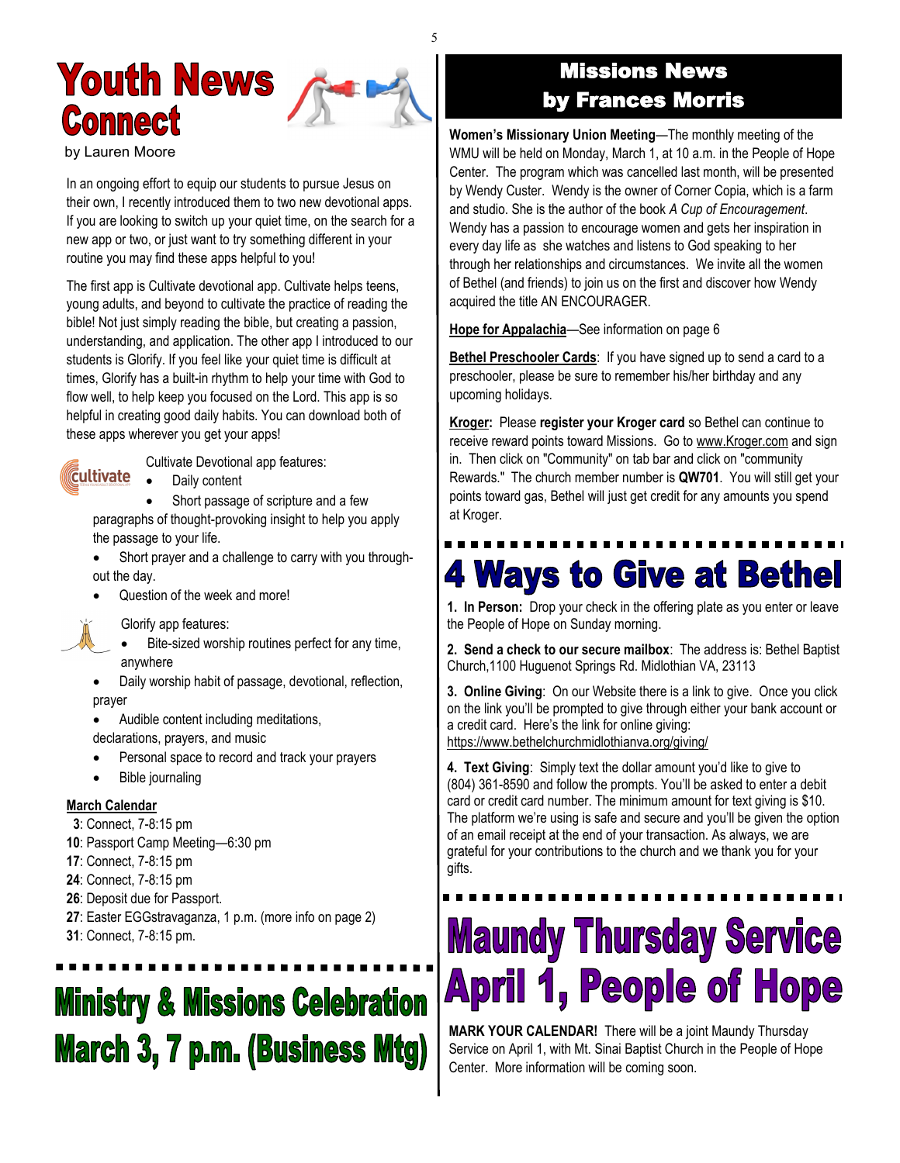## **Youth News Connect**

by Lauren Moore

In an ongoing effort to equip our students to pursue Jesus on their own, I recently introduced them to two new devotional apps. If you are looking to switch up your quiet time, on the search for a new app or two, or just want to try something different in your routine you may find these apps helpful to you!

The first app is Cultivate devotional app. Cultivate helps teens, young adults, and beyond to cultivate the practice of reading the bible! Not just simply reading the bible, but creating a passion, understanding, and application. The other app I introduced to our students is Glorify. If you feel like your quiet time is difficult at times, Glorify has a built-in rhythm to help your time with God to flow well, to help keep you focused on the Lord. This app is so helpful in creating good daily habits. You can download both of these apps wherever you get your apps!



Cultivate Devotional app features:

• Daily content

Short passage of scripture and a few paragraphs of thought-provoking insight to help you apply the passage to your life.

- Short prayer and a challenge to carry with you throughout the day.
- Question of the week and more!

Glorify app features:

- Bite-sized worship routines perfect for any time, anywhere
- Daily worship habit of passage, devotional, reflection, prayer

• Audible content including meditations, declarations, prayers, and music

- Personal space to record and track your prayers
- Bible journaling

#### **March Calendar**

- **3**: Connect, 7-8:15 pm
- **10**: Passport Camp Meeting—6:30 pm
- **17**: Connect, 7-8:15 pm
- **24**: Connect, 7-8:15 pm
- **26**: Deposit due for Passport.
- **27**: Easter EGGstravaganza, 1 p.m. (more info on page 2)
- **31**: Connect, 7-8:15 pm.

## **Ministry & Missions Celebration March 3, 7 p.m. (Business Mtg)**

## Missions News by Frances Morris

**Women's Missionary Union Meeting**—The monthly meeting of the WMU will be held on Monday, March 1, at 10 a.m. in the People of Hope Center. The program which was cancelled last month, will be presented by Wendy Custer. Wendy is the owner of Corner Copia, which is a farm and studio. She is the author of the book *A Cup of Encouragement*. Wendy has a passion to encourage women and gets her inspiration in every day life as she watches and listens to God speaking to her through her relationships and circumstances. We invite all the women of Bethel (and friends) to join us on the first and discover how Wendy acquired the title AN ENCOURAGER.

**Hope for Appalachia**—See information on page 6

**Bethel Preschooler Cards:** If you have signed up to send a card to a preschooler, please be sure to remember his/her birthday and any upcoming holidays.

**Kroger:** Please **register your Kroger card** so Bethel can continue to receive reward points toward Missions. Go to [www.Kroger.com](http://bbc1817.us7.list-manage2.com/track/click?u=24adf057605a86e21a1434386&id=d07875dae2&e=0acac2e3d0) and sign in. Then click on "Community" on tab bar and click on "community Rewards." The church member number is **QW701**. You will still get your points toward gas, Bethel will just get credit for any amounts you spend at Kroger.

## **4 Ways to Give at Bethel**

**1. In Person:** Drop your check in the offering plate as you enter or leave the People of Hope on Sunday morning.

**2. Send a check to our secure mailbox**: The address is: Bethel Baptist Church,1100 Huguenot Springs Rd. Midlothian VA, 23113

**3. Online Giving**: On our Website there is a link to give. Once you click on the link you'll be prompted to give through either your bank account or a credit card. Here's the link for online giving: [https://www.bethelchurchmidlothianva.org/giving/](https://bbc1817.us7.list-manage.com/track/click?u=24adf057605a86e21a1434386&id=398748ca63&e=0acac2e3d0)

**4. Text Giving**: Simply text the dollar amount you'd like to give to (804) 361-8590 and follow the prompts. You'll be asked to enter a debit card or credit card number. The minimum amount for text giving is \$10. The platform we're using is safe and secure and you'll be given the option of an email receipt at the end of your transaction. As always, we are grateful for your contributions to the church and we thank you for your gifts.

# **Maundy Thursday Service April 1, People of Hope**

**MARK YOUR CALENDAR!** There will be a joint Maundy Thursday Service on April 1, with Mt. Sinai Baptist Church in the People of Hope Center. More information will be coming soon.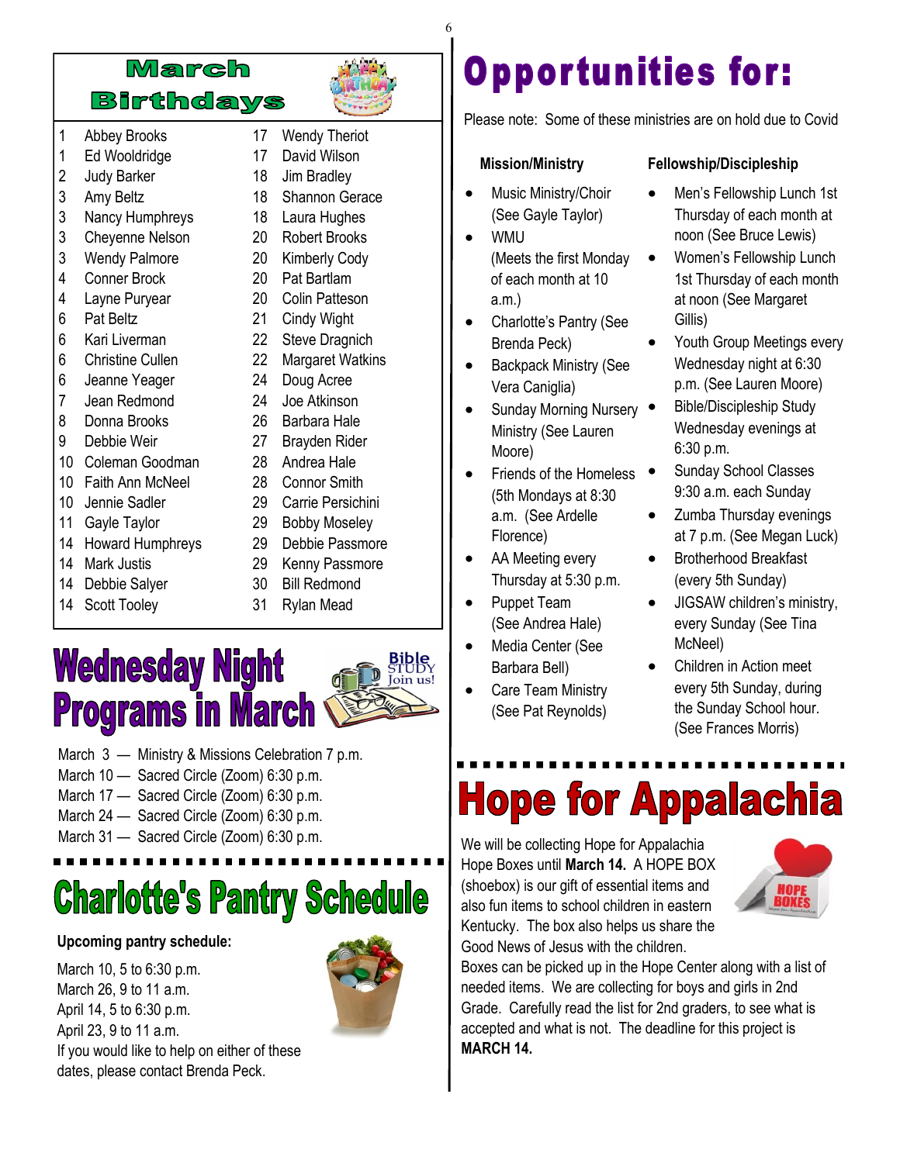![](_page_5_Picture_0.jpeg)

- 1 Abbey Brooks 1 Ed Wooldridge
- 2 Judy Barker
- 3 Amy Beltz
- 3 Nancy Humphreys
- 3 Cheyenne Nelson
- 3 Wendy Palmore
- 4 Conner Brock
- 4 Layne Puryear
- 6 Pat Beltz
- 6 Kari Liverman
- 6 Christine Cullen
- 6 Jeanne Yeager
- 7 Jean Redmond
- 8 Donna Brooks
- 9 Debbie Weir
- 10 Coleman Goodman
- 10 Faith Ann McNeel
- 10 Jennie Sadler
- 11 Gayle Taylor
- 14 Howard Humphreys
- 14 Mark Justis
- 14 Debbie Salyer
- 14 Scott Tooley
- 17 David Wilson 18 Jim Bradley
- 18 Shannon Gerace
- 18 Laura Hughes

17 Wendy Theriot

- 20 Robert Brooks
- 20 Kimberly Cody
- 20 Pat Bartlam 20 Colin Patteson
- 21 Cindy Wight
- 22 Steve Dragnich
- 22 Margaret Watkins
- 24 Doug Acree
- 24 Joe Atkinson
- 26 Barbara Hale
- 27 Brayden Rider
- 28 Andrea Hale
- 28 Connor Smith
- 29 Carrie Persichini
- 29 Bobby Moseley
- 29 Debbie Passmore
- 29 Kenny Passmore
- 30 Bill Redmond
- 31 Rylan Mead

## **Wednesday Night Programs in March**

![](_page_5_Picture_46.jpeg)

- March 3 Ministry & Missions Celebration 7 p.m.
- March 10 Sacred Circle (Zoom) 6:30 p.m.
- March 17 Sacred Circle (Zoom) 6:30 p.m.
- March 24 Sacred Circle (Zoom) 6:30 p.m.
- March 31 Sacred Circle (Zoom) 6:30 p.m. We will be collecting Hope for Appalachia

# **Charlotte's Pantry Schedule**

#### **Upcoming pantry schedule:**

March 10, 5 to 6:30 p.m. March 26, 9 to 11 a.m. April 14, 5 to 6:30 p.m. April 23, 9 to 11 a.m. If you would like to help on either of these dates, please contact Brenda Peck.

![](_page_5_Picture_55.jpeg)

## **Opportunities for:**

Please note: Some of these ministries are on hold due to Covid

#### **Mission/Ministry**

- Music Ministry/Choir (See Gayle Taylor)
- WMU
	- (Meets the first Monday of each month at 10 a.m.)
- Charlotte's Pantry (See Brenda Peck)
- Backpack Ministry (See Vera Caniglia)
- Sunday Morning Nursery Ministry (See Lauren Moore)
- Friends of the Homeless (5th Mondays at 8:30 a.m. (See Ardelle Florence)
- AA Meeting every Thursday at 5:30 p.m.
- Puppet Team (See Andrea Hale)
- Media Center (See Barbara Bell)
- Care Team Ministry (See Pat Reynolds)

#### **Fellowship/Discipleship**

- Men's Fellowship Lunch 1st Thursday of each month at noon (See Bruce Lewis)
- Women's Fellowship Lunch 1st Thursday of each month at noon (See Margaret Gillis)
- Youth Group Meetings every Wednesday night at 6:30 p.m. (See Lauren Moore)
- Bible/Discipleship Study Wednesday evenings at 6:30 p.m.
- Sunday School Classes 9:30 a.m. each Sunday
- Zumba Thursday evenings at 7 p.m. (See Megan Luck)
- Brotherhood Breakfast (every 5th Sunday)
- JIGSAW children's ministry, every Sunday (See Tina McNeel)
- Children in Action meet every 5th Sunday, during the Sunday School hour. (See Frances Morris)

# **Hope for Appalachia**

Hope Boxes until **March 14.** A HOPE BOX (shoebox) is our gift of essential items and also fun items to school children in eastern Kentucky. The box also helps us share the Good News of Jesus with the children.

![](_page_5_Picture_82.jpeg)

Boxes can be picked up in the Hope Center along with a list of needed items. We are collecting for boys and girls in 2nd Grade. Carefully read the list for 2nd graders, to see what is accepted and what is not. The deadline for this project is **MARCH 14.**

#### 6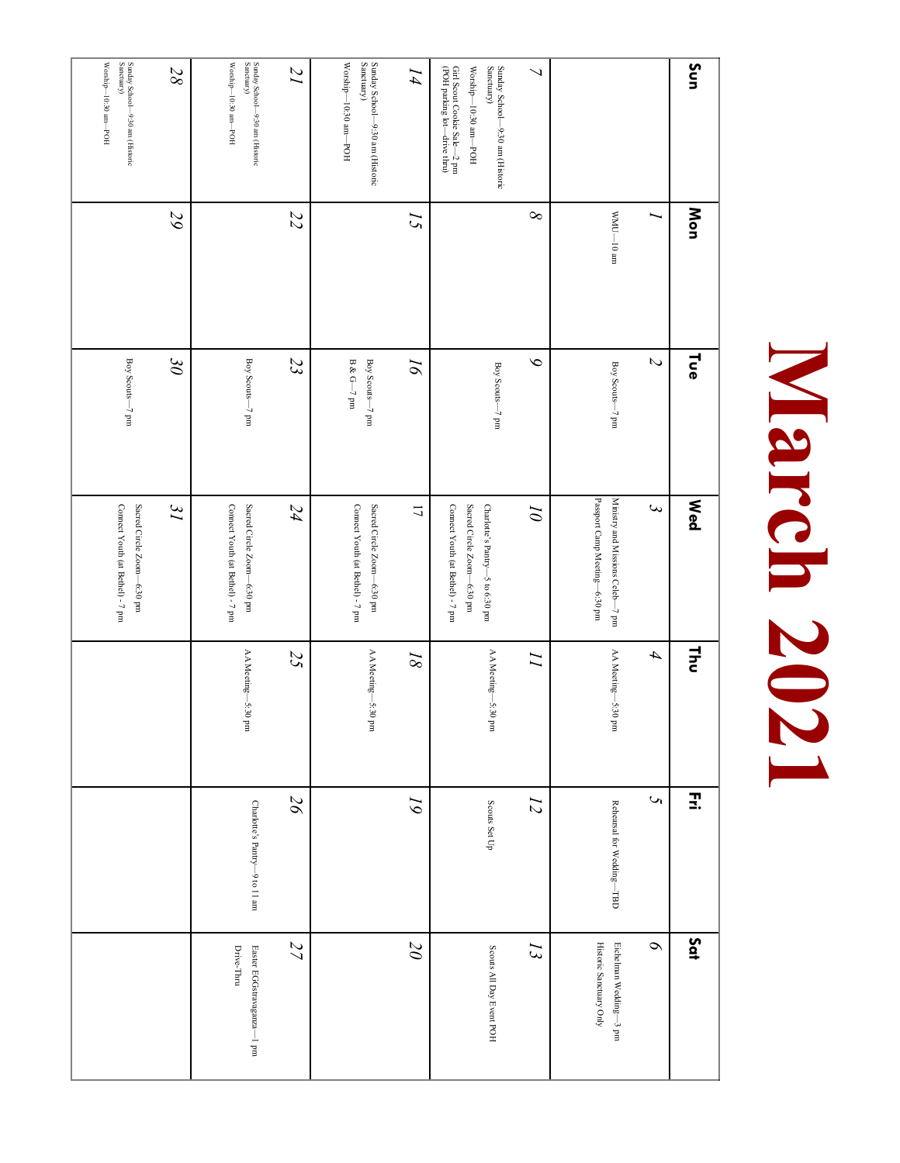# March 2021 **March 2021**

| Sun                                                                                                                                                                         | Mon                        | <b>Lue</b>                    | <b>Med</b>                                                                                        | 달                  | Ξ.                            | Sat                                               |
|-----------------------------------------------------------------------------------------------------------------------------------------------------------------------------|----------------------------|-------------------------------|---------------------------------------------------------------------------------------------------|--------------------|-------------------------------|---------------------------------------------------|
|                                                                                                                                                                             |                            | $\overline{C}$                | $\mathbf{\omega}$                                                                                 | 4                  | $\mathcal{C}$                 | $\sigma$                                          |
|                                                                                                                                                                             | $\rm{m}\,01\rm{-}01\rm{M}$ | Boy Scouts-7 pm               | Passport Camp Meeting—6:30 pm<br>Ministry and Missions Celeb-7 pm                                 | AA Meeting—5:30 pm | Rehearsal for Wedding-TBD     | Historic Sanctuary Only<br>Eichelman Wedding-3 pm |
| $\overline{\phantom{0}}$                                                                                                                                                    | $\infty$                   | $\delta$                      | $\overline{\theta}$                                                                               | $\overline{L}$     | $\overline{z}$                | $\overline{z}$                                    |
| Girl Scout Cookie Sale—2 pm $\left(\text{POH}~\text{parking}~\text{lot}\right)$<br>Sunday School—9:30 am (Historic Sanctuary)<br>$\rm Worship\text{-}10:30\; am\text{-}POH$ |                            | Boy Scouts-7 pm               | Connect Youth (at Bethel) - 7 pm<br>Sacred Circle Zoom-6:30 pm<br>Charlotte's Pantry-5 to 6:30 pm | AA Meeting—5:30 pm | Scouts Set Up                 | Scouts All Day Event POH                          |
| I4                                                                                                                                                                          | $\overline{c}$             | $\overline{\rho}$             | $\overline{L}$                                                                                    | $\sqrt{8}$         | $\tilde{\delta}$              | $\overline{\partial}$                             |
| Sunday School—9:30 am (Historic Sanctuary)<br>$\rm Worship\text{-}10:30\; am\text{-}POH$                                                                                    |                            | Boy Scouts-7 pm<br>B & G-7 pm | Connect Youth (at Bethel) - 7 pm<br>Sacred Circle Zoom-6:30 pm                                    | AA Meeting—5:30 pm |                               |                                                   |
| $\overline{1}$                                                                                                                                                              | $\overline{z}$             | 23                            | 24                                                                                                | 25                 | $\overline{26}$               | 27                                                |
| $\rm Worship\rm{-}1030\;am\rm{-}POH$<br>Sunday School—9:30 am (Historic Sanctuary)                                                                                          |                            | Boy Scouts-7 pm               | Connect Youth (at Bethel) - 7 pm<br>Sacred Circle Zoom-6:30 pm                                    | AA Meeting—5:30 pm | Charlotte's Pantry-9 to 11 am | Drive-Thru<br>Easter EGGstravaganza-1 pm          |
| $28\,$                                                                                                                                                                      | 29                         | $\partial \mathcal{E}$        | $\tilde{J}$                                                                                       |                    |                               |                                                   |
| Sunday School—9:30 am (Historic Sanctuary)<br>$\rm Worship\rm{-}10\rm{.30\;am\rm{-}}POH$                                                                                    |                            | Boy Scouts—7 pm               | Connect Youth (at Bethel) - 7 pm<br>Sacred Circle Zoom-6:30 pm                                    |                    |                               |                                                   |